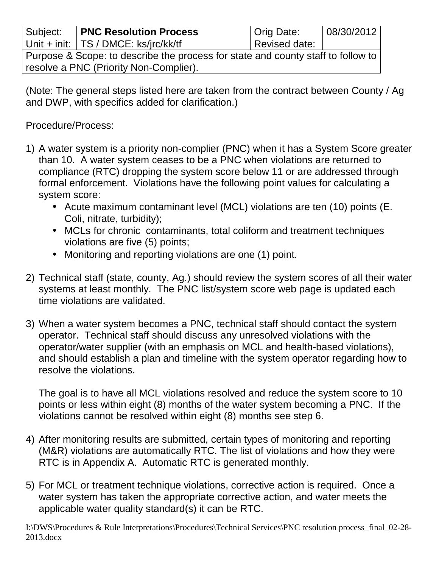| Subject:                                                                         | <b>PNC Resolution Process</b>            | Orig Date:    | 08/30/2012 |
|----------------------------------------------------------------------------------|------------------------------------------|---------------|------------|
|                                                                                  | Unit + init: $ TS / DMCE$ : ks/jrc/kk/tf | Revised date: |            |
| Purpose & Scope: to describe the process for state and county staff to follow to |                                          |               |            |
| resolve a PNC (Priority Non-Complier).                                           |                                          |               |            |

(Note: The general steps listed here are taken from the contract between County / Ag and DWP, with specifics added for clarification.)

Procedure/Process:

- 1) A water system is a priority non-complier (PNC) when it has a System Score greater than 10. A water system ceases to be a PNC when violations are returned to compliance (RTC) dropping the system score below 11 or are addressed through formal enforcement. Violations have the following point values for calculating a system score:
	- Acute maximum contaminant level (MCL) violations are ten (10) points (E. Coli, nitrate, turbidity);
	- MCLs for chronic contaminants, total coliform and treatment techniques violations are five (5) points;
	- Monitoring and reporting violations are one (1) point.
- 2) Technical staff (state, county, Ag.) should review the system scores of all their water systems at least monthly. The PNC list/system score web page is updated each time violations are validated.
- 3) When a water system becomes a PNC, technical staff should contact the system operator. Technical staff should discuss any unresolved violations with the operator/water supplier (with an emphasis on MCL and health-based violations), and should establish a plan and timeline with the system operator regarding how to resolve the violations.

The goal is to have all MCL violations resolved and reduce the system score to 10 points or less within eight (8) months of the water system becoming a PNC. If the violations cannot be resolved within eight (8) months see step 6.

- 4) After monitoring results are submitted, certain types of monitoring and reporting (M&R) violations are automatically RTC. The list of violations and how they were RTC is in Appendix A. Automatic RTC is generated monthly.
- 5) For MCL or treatment technique violations, corrective action is required. Once a water system has taken the appropriate corrective action, and water meets the applicable water quality standard(s) it can be RTC.

I:\DWS\Procedures & Rule Interpretations\Procedures\Technical Services\PNC resolution process\_final\_02-28- 2013.docx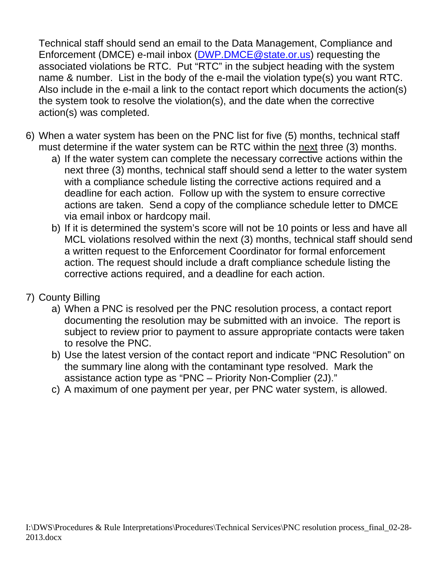Technical staff should send an email to the Data Management, Compliance and Enforcement (DMCE) e-mail inbox (DWP.DMCE@state.or.us) requesting the associated violations be RTC. Put "RTC" in the subject heading with the system name & number. List in the body of the e-mail the violation type(s) you want RTC. Also include in the e-mail a link to the contact report which documents the action(s) the system took to resolve the violation(s), and the date when the corrective action(s) was completed.

- 6) When a water system has been on the PNC list for five (5) months, technical staff must determine if the water system can be RTC within the next three (3) months.
	- a) If the water system can complete the necessary corrective actions within the next three (3) months, technical staff should send a letter to the water system with a compliance schedule listing the corrective actions required and a deadline for each action. Follow up with the system to ensure corrective actions are taken. Send a copy of the compliance schedule letter to DMCE via email inbox or hardcopy mail.
	- b) If it is determined the system's score will not be 10 points or less and have all MCL violations resolved within the next (3) months, technical staff should send a written request to the Enforcement Coordinator for formal enforcement action. The request should include a draft compliance schedule listing the corrective actions required, and a deadline for each action.
- 7) County Billing
	- a) When a PNC is resolved per the PNC resolution process, a contact report documenting the resolution may be submitted with an invoice. The report is subject to review prior to payment to assure appropriate contacts were taken to resolve the PNC.
	- b) Use the latest version of the contact report and indicate "PNC Resolution" on the summary line along with the contaminant type resolved. Mark the assistance action type as "PNC – Priority Non-Complier (2J)."
	- c) A maximum of one payment per year, per PNC water system, is allowed.